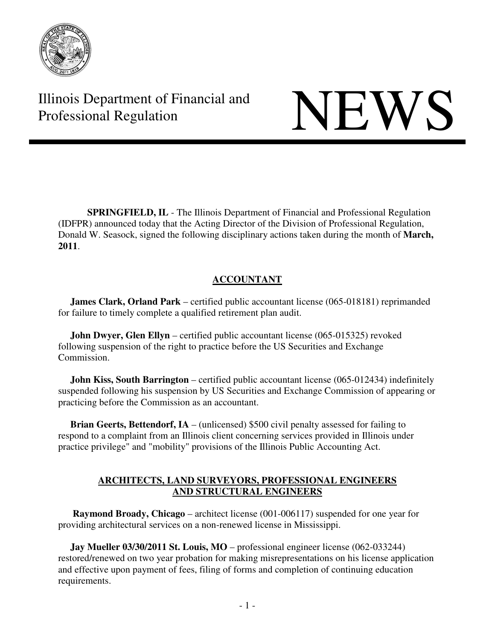

Illinois Department of Financial and Illinois Department of Financial and<br>Professional Regulation

**SPRINGFIELD, IL** - The Illinois Department of Financial and Professional Regulation (IDFPR) announced today that the Acting Director of the Division of Professional Regulation, Donald W. Seasock, signed the following disciplinary actions taken during the month of **March, 2011**.

# **ACCOUNTANT**

**James Clark, Orland Park** – certified public accountant license (065-018181) reprimanded for failure to timely complete a qualified retirement plan audit.

**John Dwyer, Glen Ellyn** – certified public accountant license (065-015325) revoked following suspension of the right to practice before the US Securities and Exchange Commission.

**John Kiss, South Barrington** – certified public accountant license (065-012434) indefinitely suspended following his suspension by US Securities and Exchange Commission of appearing or practicing before the Commission as an accountant.

**Brian Geerts, Bettendorf, IA** – (unlicensed) \$500 civil penalty assessed for failing to respond to a complaint from an Illinois client concerning services provided in Illinois under practice privilege" and "mobility" provisions of the Illinois Public Accounting Act.

## **ARCHITECTS, LAND SURVEYORS, PROFESSIONAL ENGINEERS AND STRUCTURAL ENGINEERS**

 **Raymond Broady, Chicago** – architect license (001-006117) suspended for one year for providing architectural services on a non-renewed license in Mississippi.

**Jay Mueller 03/30/2011 St. Louis, MO** – professional engineer license (062-033244) restored/renewed on two year probation for making misrepresentations on his license application and effective upon payment of fees, filing of forms and completion of continuing education requirements.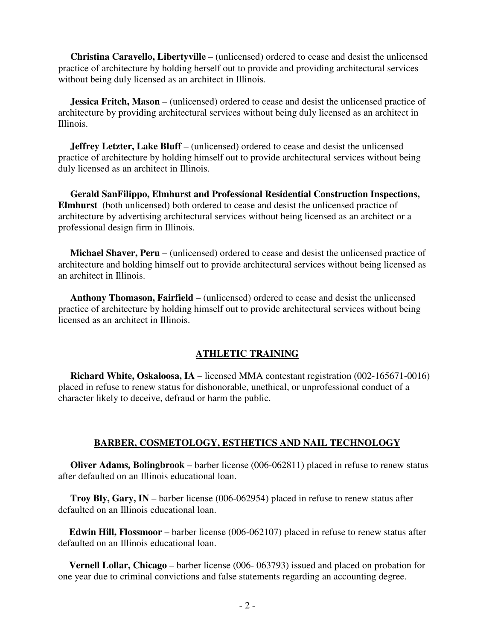**Christina Caravello, Libertyville** – (unlicensed) ordered to cease and desist the unlicensed practice of architecture by holding herself out to provide and providing architectural services without being duly licensed as an architect in Illinois.

**Jessica Fritch, Mason** – (unlicensed) ordered to cease and desist the unlicensed practice of architecture by providing architectural services without being duly licensed as an architect in Illinois.

**Jeffrey Letzter, Lake Bluff** – (unlicensed) ordered to cease and desist the unlicensed practice of architecture by holding himself out to provide architectural services without being duly licensed as an architect in Illinois.

**Gerald SanFilippo, Elmhurst and Professional Residential Construction Inspections, Elmhurst** (both unlicensed) both ordered to cease and desist the unlicensed practice of architecture by advertising architectural services without being licensed as an architect or a professional design firm in Illinois.

**Michael Shaver, Peru** – (unlicensed) ordered to cease and desist the unlicensed practice of architecture and holding himself out to provide architectural services without being licensed as an architect in Illinois.

**Anthony Thomason, Fairfield** – (unlicensed) ordered to cease and desist the unlicensed practice of architecture by holding himself out to provide architectural services without being licensed as an architect in Illinois.

### **ATHLETIC TRAINING**

 **Richard White, Oskaloosa, IA** – licensed MMA contestant registration (002-165671-0016) placed in refuse to renew status for dishonorable, unethical, or unprofessional conduct of a character likely to deceive, defraud or harm the public.

## **BARBER, COSMETOLOGY, ESTHETICS AND NAIL TECHNOLOGY**

**Oliver Adams, Bolingbrook** – barber license (006-062811) placed in refuse to renew status after defaulted on an Illinois educational loan.

**Troy Bly, Gary, IN** – barber license (006-062954) placed in refuse to renew status after defaulted on an Illinois educational loan.

**Edwin Hill, Flossmoor** – barber license (006-062107) placed in refuse to renew status after defaulted on an Illinois educational loan.

**Vernell Lollar, Chicago** – barber license (006- 063793) issued and placed on probation for one year due to criminal convictions and false statements regarding an accounting degree.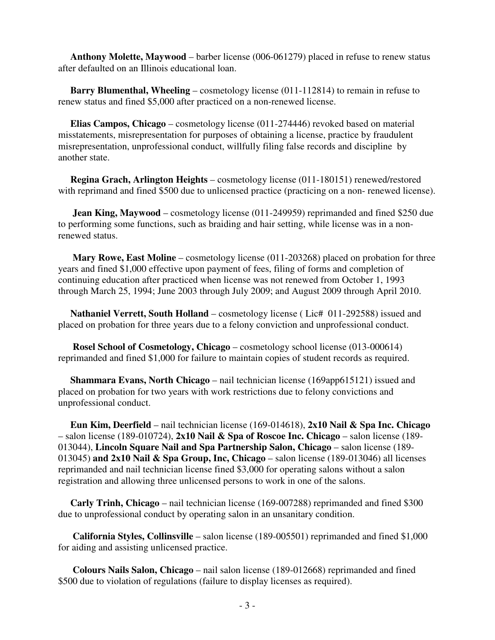**Anthony Molette, Maywood** – barber license (006-061279) placed in refuse to renew status after defaulted on an Illinois educational loan.

**Barry Blumenthal, Wheeling** – cosmetology license (011-112814) to remain in refuse to renew status and fined \$5,000 after practiced on a non-renewed license.

**Elias Campos, Chicago** – cosmetology license (011-274446) revoked based on material misstatements, misrepresentation for purposes of obtaining a license, practice by fraudulent misrepresentation, unprofessional conduct, willfully filing false records and discipline by another state.

**Regina Grach, Arlington Heights** – cosmetology license (011-180151) renewed/restored with reprimand and fined \$500 due to unlicensed practice (practicing on a non- renewed license).

**Jean King, Maywood** – cosmetology license (011-249959) reprimanded and fined \$250 due to performing some functions, such as braiding and hair setting, while license was in a nonrenewed status.

**Mary Rowe, East Moline** – cosmetology license (011-203268) placed on probation for three years and fined \$1,000 effective upon payment of fees, filing of forms and completion of continuing education after practiced when license was not renewed from October 1, 1993 through March 25, 1994; June 2003 through July 2009; and August 2009 through April 2010.

**Nathaniel Verrett, South Holland** – cosmetology license (Lic# 011-292588) issued and placed on probation for three years due to a felony conviction and unprofessional conduct.

 **Rosel School of Cosmetology, Chicago** – cosmetology school license (013-000614) reprimanded and fined \$1,000 for failure to maintain copies of student records as required.

**Shammara Evans, North Chicago** – nail technician license (169app615121) issued and placed on probation for two years with work restrictions due to felony convictions and unprofessional conduct.

**Eun Kim, Deerfield** – nail technician license (169-014618), **2x10 Nail & Spa Inc. Chicago** – salon license (189-010724), **2x10 Nail & Spa of Roscoe Inc. Chicago** – salon license (189- 013044), **Lincoln Square Nail and Spa Partnership Salon, Chicago** – salon license (189- 013045) **and 2x10 Nail & Spa Group, Inc, Chicago** – salon license (189-013046) all licenses reprimanded and nail technician license fined \$3,000 for operating salons without a salon registration and allowing three unlicensed persons to work in one of the salons.

**Carly Trinh, Chicago** – nail technician license (169-007288) reprimanded and fined \$300 due to unprofessional conduct by operating salon in an unsanitary condition.

 **California Styles, Collinsville** – salon license (189-005501) reprimanded and fined \$1,000 for aiding and assisting unlicensed practice.

 **Colours Nails Salon, Chicago** – nail salon license (189-012668) reprimanded and fined \$500 due to violation of regulations (failure to display licenses as required).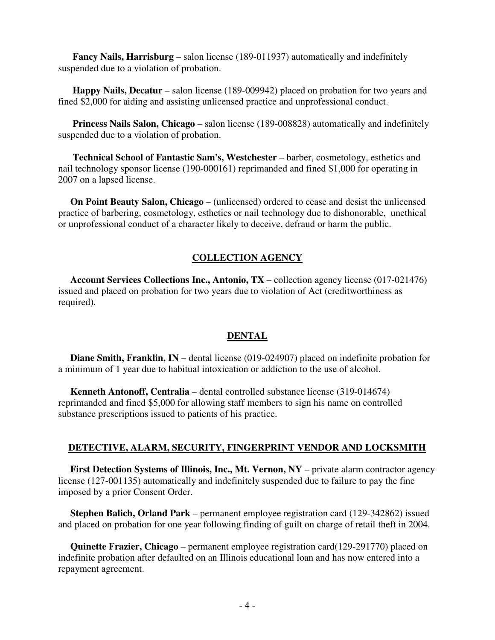**Fancy Nails, Harrisburg** – salon license (189-011937) automatically and indefinitely suspended due to a violation of probation.

 **Happy Nails, Decatur** – salon license (189-009942) placed on probation for two years and fined \$2,000 for aiding and assisting unlicensed practice and unprofessional conduct.

 **Princess Nails Salon, Chicago** – salon license (189-008828) automatically and indefinitely suspended due to a violation of probation.

 **Technical School of Fantastic Sam's, Westchester** – barber, cosmetology, esthetics and nail technology sponsor license (190-000161) reprimanded and fined \$1,000 for operating in 2007 on a lapsed license.

**On Point Beauty Salon, Chicago** – (unlicensed) ordered to cease and desist the unlicensed practice of barbering, cosmetology, esthetics or nail technology due to dishonorable, unethical or unprofessional conduct of a character likely to deceive, defraud or harm the public.

## **COLLECTION AGENCY**

**Account Services Collections Inc., Antonio, TX** – collection agency license (017-021476) issued and placed on probation for two years due to violation of Act (creditworthiness as required).

## **DENTAL**

**Diane Smith, Franklin, IN** – dental license (019-024907) placed on indefinite probation for a minimum of 1 year due to habitual intoxication or addiction to the use of alcohol.

**Kenneth Antonoff, Centralia** – dental controlled substance license (319-014674) reprimanded and fined \$5,000 for allowing staff members to sign his name on controlled substance prescriptions issued to patients of his practice.

## **DETECTIVE, ALARM, SECURITY, FINGERPRINT VENDOR AND LOCKSMITH**

**First Detection Systems of Illinois, Inc., Mt. Vernon, NY** – private alarm contractor agency license (127-001135) automatically and indefinitely suspended due to failure to pay the fine imposed by a prior Consent Order.

 **Stephen Balich, Orland Park** – permanent employee registration card (129-342862) issued and placed on probation for one year following finding of guilt on charge of retail theft in 2004.

**Quinette Frazier, Chicago** – permanent employee registration card(129-291770) placed on indefinite probation after defaulted on an Illinois educational loan and has now entered into a repayment agreement.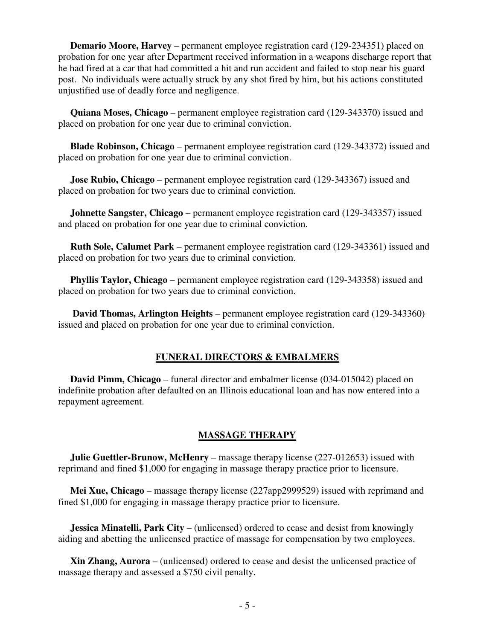**Demario Moore, Harvey** – permanent employee registration card (129-234351) placed on probation for one year after Department received information in a weapons discharge report that he had fired at a car that had committed a hit and run accident and failed to stop near his guard post. No individuals were actually struck by any shot fired by him, but his actions constituted unjustified use of deadly force and negligence.

**Quiana Moses, Chicago** – permanent employee registration card (129-343370) issued and placed on probation for one year due to criminal conviction.

**Blade Robinson, Chicago** – permanent employee registration card (129-343372) issued and placed on probation for one year due to criminal conviction.

**Jose Rubio, Chicago** – permanent employee registration card (129-343367) issued and placed on probation for two years due to criminal conviction.

**Johnette Sangster, Chicago** – permanent employee registration card (129-343357) issued and placed on probation for one year due to criminal conviction.

**Ruth Sole, Calumet Park** – permanent employee registration card (129-343361) issued and placed on probation for two years due to criminal conviction.

**Phyllis Taylor, Chicago** – permanent employee registration card (129-343358) issued and placed on probation for two years due to criminal conviction.

 **David Thomas, Arlington Heights** – permanent employee registration card (129-343360) issued and placed on probation for one year due to criminal conviction.

### **FUNERAL DIRECTORS & EMBALMERS**

**David Pimm, Chicago** – funeral director and embalmer license (034-015042) placed on indefinite probation after defaulted on an Illinois educational loan and has now entered into a repayment agreement.

### **MASSAGE THERAPY**

**Julie Guettler-Brunow, McHenry** – massage therapy license (227-012653) issued with reprimand and fined \$1,000 for engaging in massage therapy practice prior to licensure.

**Mei Xue, Chicago** – massage therapy license (227app2999529) issued with reprimand and fined \$1,000 for engaging in massage therapy practice prior to licensure.

**Jessica Minatelli, Park City** – (unlicensed) ordered to cease and desist from knowingly aiding and abetting the unlicensed practice of massage for compensation by two employees.

**Xin Zhang, Aurora** – (unlicensed) ordered to cease and desist the unlicensed practice of massage therapy and assessed a \$750 civil penalty.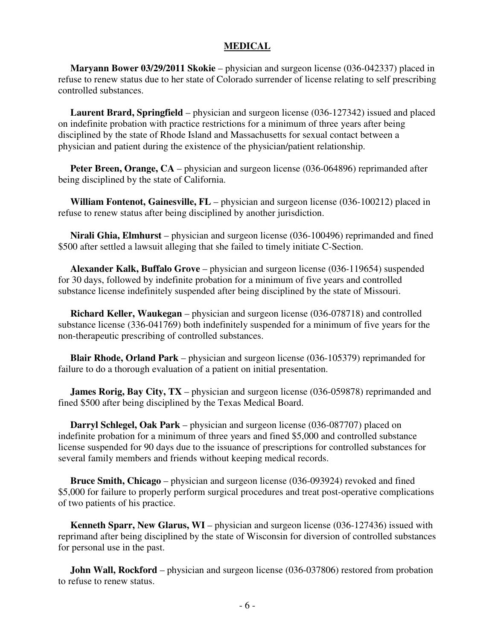#### **MEDICAL**

 **Maryann Bower 03/29/2011 Skokie** – physician and surgeon license (036-042337) placed in refuse to renew status due to her state of Colorado surrender of license relating to self prescribing controlled substances.

**Laurent Brard, Springfield** – physician and surgeon license (036-127342) issued and placed on indefinite probation with practice restrictions for a minimum of three years after being disciplined by the state of Rhode Island and Massachusetts for sexual contact between a physician and patient during the existence of the physician/patient relationship.

Peter Breen, Orange, CA – physician and surgeon license (036-064896) reprimanded after being disciplined by the state of California.

**William Fontenot, Gainesville, FL** – physician and surgeon license (036-100212) placed in refuse to renew status after being disciplined by another jurisdiction.

**Nirali Ghia, Elmhurst** – physician and surgeon license (036-100496) reprimanded and fined \$500 after settled a lawsuit alleging that she failed to timely initiate C-Section.

**Alexander Kalk, Buffalo Grove** – physician and surgeon license (036-119654) suspended for 30 days, followed by indefinite probation for a minimum of five years and controlled substance license indefinitely suspended after being disciplined by the state of Missouri.

**Richard Keller, Waukegan** – physician and surgeon license (036-078718) and controlled substance license (336-041769) both indefinitely suspended for a minimum of five years for the non-therapeutic prescribing of controlled substances.

**Blair Rhode, Orland Park** – physician and surgeon license (036-105379) reprimanded for failure to do a thorough evaluation of a patient on initial presentation.

**James Rorig, Bay City, TX** – physician and surgeon license (036-059878) reprimanded and fined \$500 after being disciplined by the Texas Medical Board.

**Darryl Schlegel, Oak Park** – physician and surgeon license (036-087707) placed on indefinite probation for a minimum of three years and fined \$5,000 and controlled substance license suspended for 90 days due to the issuance of prescriptions for controlled substances for several family members and friends without keeping medical records.

**Bruce Smith, Chicago** – physician and surgeon license (036-093924) revoked and fined \$5,000 for failure to properly perform surgical procedures and treat post-operative complications of two patients of his practice.

**Kenneth Sparr, New Glarus, WI** – physician and surgeon license (036-127436) issued with reprimand after being disciplined by the state of Wisconsin for diversion of controlled substances for personal use in the past.

**John Wall, Rockford** – physician and surgeon license (036-037806) restored from probation to refuse to renew status.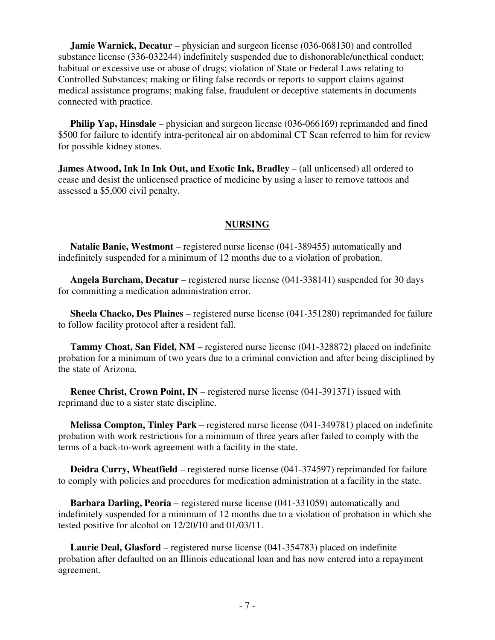**Jamie Warnick, Decatur** – physician and surgeon license (036-068130) and controlled substance license (336-032244) indefinitely suspended due to dishonorable/unethical conduct; habitual or excessive use or abuse of drugs; violation of State or Federal Laws relating to Controlled Substances; making or filing false records or reports to support claims against medical assistance programs; making false, fraudulent or deceptive statements in documents connected with practice.

**Philip Yap, Hinsdale** – physician and surgeon license (036-066169) reprimanded and fined \$500 for failure to identify intra-peritoneal air on abdominal CT Scan referred to him for review for possible kidney stones.

**James Atwood, Ink In Ink Out, and Exotic Ink, Bradley** – (all unlicensed) all ordered to cease and desist the unlicensed practice of medicine by using a laser to remove tattoos and assessed a \$5,000 civil penalty.

### **NURSING**

**Natalie Banie, Westmont** – registered nurse license (041-389455) automatically and indefinitely suspended for a minimum of 12 months due to a violation of probation.

**Angela Burcham, Decatur** – registered nurse license (041-338141) suspended for 30 days for committing a medication administration error.

**Sheela Chacko, Des Plaines** – registered nurse license (041-351280) reprimanded for failure to follow facility protocol after a resident fall.

**Tammy Choat, San Fidel, NM** – registered nurse license (041-328872) placed on indefinite probation for a minimum of two years due to a criminal conviction and after being disciplined by the state of Arizona.

**Renee Christ, Crown Point, IN** – registered nurse license (041-391371) issued with reprimand due to a sister state discipline.

**Melissa Compton, Tinley Park** – registered nurse license (041-349781) placed on indefinite probation with work restrictions for a minimum of three years after failed to comply with the terms of a back-to-work agreement with a facility in the state.

**Deidra Curry, Wheatfield** – registered nurse license (041-374597) reprimanded for failure to comply with policies and procedures for medication administration at a facility in the state.

**Barbara Darling, Peoria** – registered nurse license (041-331059) automatically and indefinitely suspended for a minimum of 12 months due to a violation of probation in which she tested positive for alcohol on 12/20/10 and 01/03/11.

**Laurie Deal, Glasford** – registered nurse license (041-354783) placed on indefinite probation after defaulted on an Illinois educational loan and has now entered into a repayment agreement.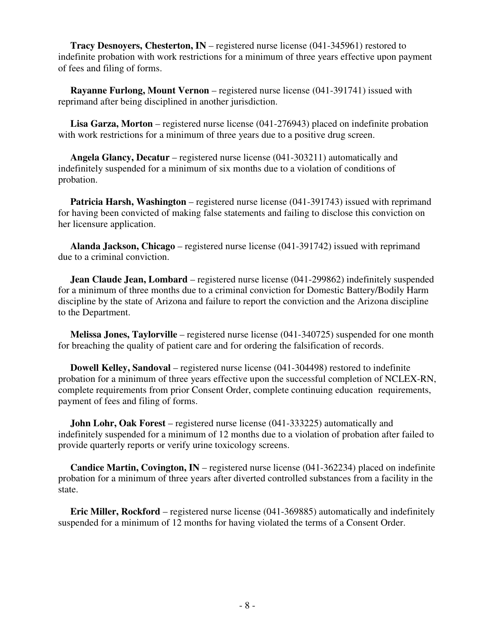**Tracy Desnoyers, Chesterton, IN** – registered nurse license (041-345961) restored to indefinite probation with work restrictions for a minimum of three years effective upon payment of fees and filing of forms.

**Rayanne Furlong, Mount Vernon** – registered nurse license (041-391741) issued with reprimand after being disciplined in another jurisdiction.

**Lisa Garza, Morton** – registered nurse license (041-276943) placed on indefinite probation with work restrictions for a minimum of three years due to a positive drug screen.

**Angela Glancy, Decatur** – registered nurse license (041-303211) automatically and indefinitely suspended for a minimum of six months due to a violation of conditions of probation.

**Patricia Harsh, Washington** – registered nurse license (041-391743) issued with reprimand for having been convicted of making false statements and failing to disclose this conviction on her licensure application.

**Alanda Jackson, Chicago** – registered nurse license (041-391742) issued with reprimand due to a criminal conviction.

**Jean Claude Jean, Lombard** – registered nurse license (041-299862) indefinitely suspended for a minimum of three months due to a criminal conviction for Domestic Battery/Bodily Harm discipline by the state of Arizona and failure to report the conviction and the Arizona discipline to the Department.

**Melissa Jones, Taylorville** – registered nurse license (041-340725) suspended for one month for breaching the quality of patient care and for ordering the falsification of records.

**Dowell Kelley, Sandoval** – registered nurse license (041-304498) restored to indefinite probation for a minimum of three years effective upon the successful completion of NCLEX-RN, complete requirements from prior Consent Order, complete continuing education requirements, payment of fees and filing of forms.

**John Lohr, Oak Forest** – registered nurse license (041-333225) automatically and indefinitely suspended for a minimum of 12 months due to a violation of probation after failed to provide quarterly reports or verify urine toxicology screens.

**Candice Martin, Covington, IN** – registered nurse license (041-362234) placed on indefinite probation for a minimum of three years after diverted controlled substances from a facility in the state.

**Eric Miller, Rockford** – registered nurse license (041-369885) automatically and indefinitely suspended for a minimum of 12 months for having violated the terms of a Consent Order.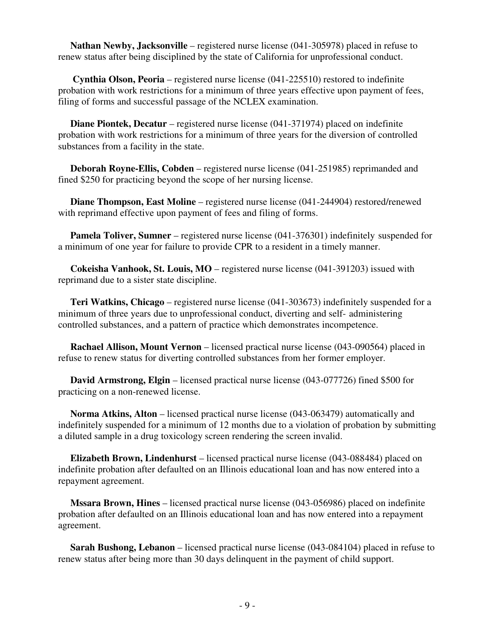**Nathan Newby, Jacksonville** – registered nurse license (041-305978) placed in refuse to renew status after being disciplined by the state of California for unprofessional conduct.

 **Cynthia Olson, Peoria** – registered nurse license (041-225510) restored to indefinite probation with work restrictions for a minimum of three years effective upon payment of fees, filing of forms and successful passage of the NCLEX examination.

**Diane Piontek, Decatur** – registered nurse license (041-371974) placed on indefinite probation with work restrictions for a minimum of three years for the diversion of controlled substances from a facility in the state.

**Deborah Royne-Ellis, Cobden** – registered nurse license (041-251985) reprimanded and fined \$250 for practicing beyond the scope of her nursing license.

**Diane Thompson, East Moline** – registered nurse license (041-244904) restored/renewed with reprimand effective upon payment of fees and filing of forms.

**Pamela Toliver, Sumner** – registered nurse license (041-376301) indefinitely suspended for a minimum of one year for failure to provide CPR to a resident in a timely manner.

**Cokeisha Vanhook, St. Louis, MO** – registered nurse license (041-391203) issued with reprimand due to a sister state discipline.

**Teri Watkins, Chicago** – registered nurse license (041-303673) indefinitely suspended for a minimum of three years due to unprofessional conduct, diverting and self- administering controlled substances, and a pattern of practice which demonstrates incompetence.

**Rachael Allison, Mount Vernon** – licensed practical nurse license (043-090564) placed in refuse to renew status for diverting controlled substances from her former employer.

**David Armstrong, Elgin** – licensed practical nurse license (043-077726) fined \$500 for practicing on a non-renewed license.

**Norma Atkins, Alton** – licensed practical nurse license (043-063479) automatically and indefinitely suspended for a minimum of 12 months due to a violation of probation by submitting a diluted sample in a drug toxicology screen rendering the screen invalid.

**Elizabeth Brown, Lindenhurst** – licensed practical nurse license (043-088484) placed on indefinite probation after defaulted on an Illinois educational loan and has now entered into a repayment agreement.

**Mssara Brown, Hines** – licensed practical nurse license (043-056986) placed on indefinite probation after defaulted on an Illinois educational loan and has now entered into a repayment agreement.

**Sarah Bushong, Lebanon** – licensed practical nurse license (043-084104) placed in refuse to renew status after being more than 30 days delinquent in the payment of child support.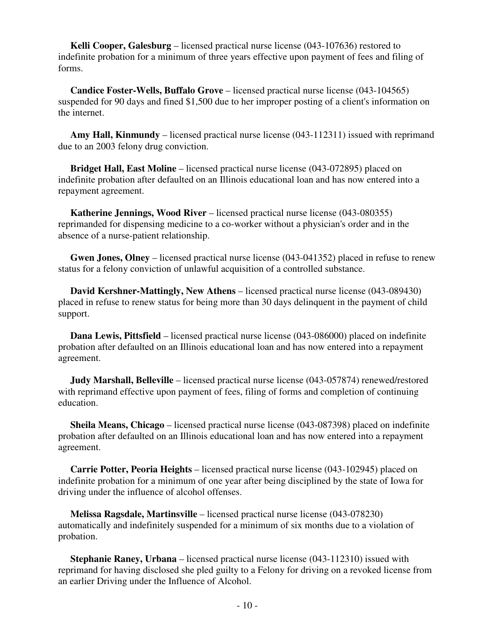**Kelli Cooper, Galesburg** – licensed practical nurse license (043-107636) restored to indefinite probation for a minimum of three years effective upon payment of fees and filing of forms.

**Candice Foster-Wells, Buffalo Grove** – licensed practical nurse license (043-104565) suspended for 90 days and fined \$1,500 due to her improper posting of a client's information on the internet.

**Amy Hall, Kinmundy** – licensed practical nurse license (043-112311) issued with reprimand due to an 2003 felony drug conviction.

**Bridget Hall, East Moline** – licensed practical nurse license (043-072895) placed on indefinite probation after defaulted on an Illinois educational loan and has now entered into a repayment agreement.

**Katherine Jennings, Wood River** – licensed practical nurse license (043-080355) reprimanded for dispensing medicine to a co-worker without a physician's order and in the absence of a nurse-patient relationship.

**Gwen Jones, Olney** – licensed practical nurse license (043-041352) placed in refuse to renew status for a felony conviction of unlawful acquisition of a controlled substance.

**David Kershner-Mattingly, New Athens** – licensed practical nurse license (043-089430) placed in refuse to renew status for being more than 30 days delinquent in the payment of child support.

**Dana Lewis, Pittsfield** – licensed practical nurse license (043-086000) placed on indefinite probation after defaulted on an Illinois educational loan and has now entered into a repayment agreement.

**Judy Marshall, Belleville** – licensed practical nurse license (043-057874) renewed/restored with reprimand effective upon payment of fees, filing of forms and completion of continuing education.

**Sheila Means, Chicago** – licensed practical nurse license (043-087398) placed on indefinite probation after defaulted on an Illinois educational loan and has now entered into a repayment agreement.

**Carrie Potter, Peoria Heights** – licensed practical nurse license (043-102945) placed on indefinite probation for a minimum of one year after being disciplined by the state of Iowa for driving under the influence of alcohol offenses.

**Melissa Ragsdale, Martinsville** – licensed practical nurse license (043-078230) automatically and indefinitely suspended for a minimum of six months due to a violation of probation.

**Stephanie Raney, Urbana** – licensed practical nurse license (043-112310) issued with reprimand for having disclosed she pled guilty to a Felony for driving on a revoked license from an earlier Driving under the Influence of Alcohol.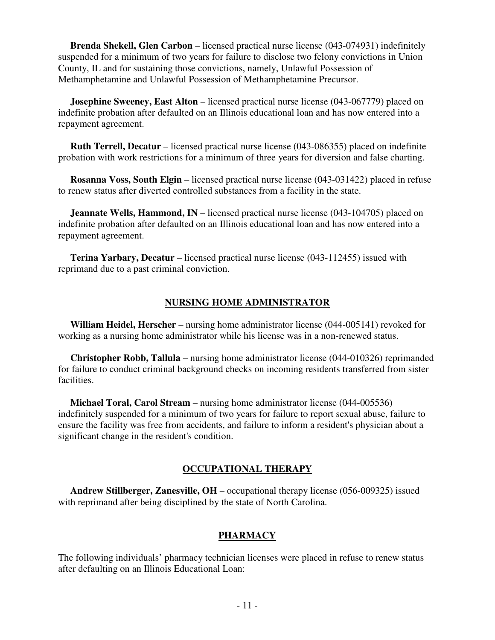**Brenda Shekell, Glen Carbon** – licensed practical nurse license (043-074931) indefinitely suspended for a minimum of two years for failure to disclose two felony convictions in Union County, IL and for sustaining those convictions, namely, Unlawful Possession of Methamphetamine and Unlawful Possession of Methamphetamine Precursor.

**Josephine Sweeney, East Alton** – licensed practical nurse license (043-067779) placed on indefinite probation after defaulted on an Illinois educational loan and has now entered into a repayment agreement.

**Ruth Terrell, Decatur** – licensed practical nurse license (043-086355) placed on indefinite probation with work restrictions for a minimum of three years for diversion and false charting.

**Rosanna Voss, South Elgin** – licensed practical nurse license (043-031422) placed in refuse to renew status after diverted controlled substances from a facility in the state.

**Jeannate Wells, Hammond, IN** – licensed practical nurse license (043-104705) placed on indefinite probation after defaulted on an Illinois educational loan and has now entered into a repayment agreement.

**Terina Yarbary, Decatur** – licensed practical nurse license (043-112455) issued with reprimand due to a past criminal conviction.

## **NURSING HOME ADMINISTRATOR**

**William Heidel, Herscher** – nursing home administrator license (044-005141) revoked for working as a nursing home administrator while his license was in a non-renewed status.

**Christopher Robb, Tallula** – nursing home administrator license (044-010326) reprimanded for failure to conduct criminal background checks on incoming residents transferred from sister facilities.

**Michael Toral, Carol Stream** – nursing home administrator license (044-005536) indefinitely suspended for a minimum of two years for failure to report sexual abuse, failure to ensure the facility was free from accidents, and failure to inform a resident's physician about a significant change in the resident's condition.

# **OCCUPATIONAL THERAPY**

**Andrew Stillberger, Zanesville, OH** – occupational therapy license (056-009325) issued with reprimand after being disciplined by the state of North Carolina.

## **PHARMACY**

The following individuals' pharmacy technician licenses were placed in refuse to renew status after defaulting on an Illinois Educational Loan: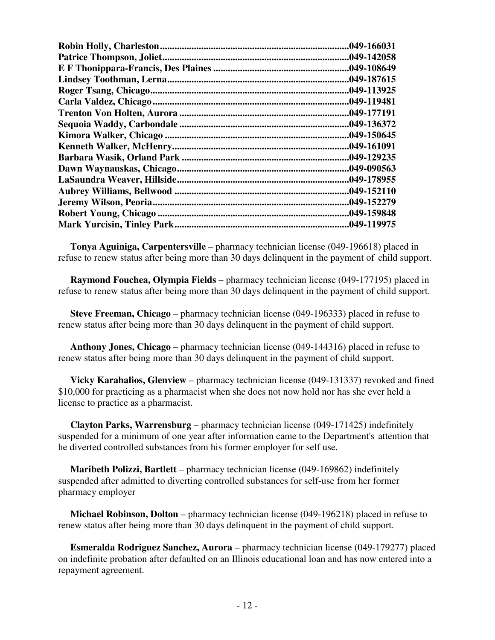| .049-166031 |
|-------------|
| .049-142058 |
| .049-108649 |
| .049-187615 |
| .049-113925 |
| .049-119481 |
| .049-177191 |
| .049-136372 |
| .049-150645 |
| .049-161091 |
| .049-129235 |
| .049-090563 |
| .049-178955 |
| .049-152110 |
|             |
|             |
| .049-119975 |
|             |

**Tonya Aguiniga, Carpentersville** – pharmacy technician license (049-196618) placed in refuse to renew status after being more than 30 days delinquent in the payment of child support.

**Raymond Fouchea, Olympia Fields** – pharmacy technician license (049-177195) placed in refuse to renew status after being more than 30 days delinquent in the payment of child support.

**Steve Freeman, Chicago** – pharmacy technician license (049-196333) placed in refuse to renew status after being more than 30 days delinquent in the payment of child support.

**Anthony Jones, Chicago** – pharmacy technician license (049-144316) placed in refuse to renew status after being more than 30 days delinquent in the payment of child support.

**Vicky Karahalios, Glenview** – pharmacy technician license (049-131337) revoked and fined \$10,000 for practicing as a pharmacist when she does not now hold nor has she ever held a license to practice as a pharmacist.

**Clayton Parks, Warrensburg** – pharmacy technician license (049-171425) indefinitely suspended for a minimum of one year after information came to the Department's attention that he diverted controlled substances from his former employer for self use.

**Maribeth Polizzi, Bartlett** – pharmacy technician license (049-169862) indefinitely suspended after admitted to diverting controlled substances for self-use from her former pharmacy employer

**Michael Robinson, Dolton** – pharmacy technician license (049-196218) placed in refuse to renew status after being more than 30 days delinquent in the payment of child support.

**Esmeralda Rodriguez Sanchez, Aurora** – pharmacy technician license (049-179277) placed on indefinite probation after defaulted on an Illinois educational loan and has now entered into a repayment agreement.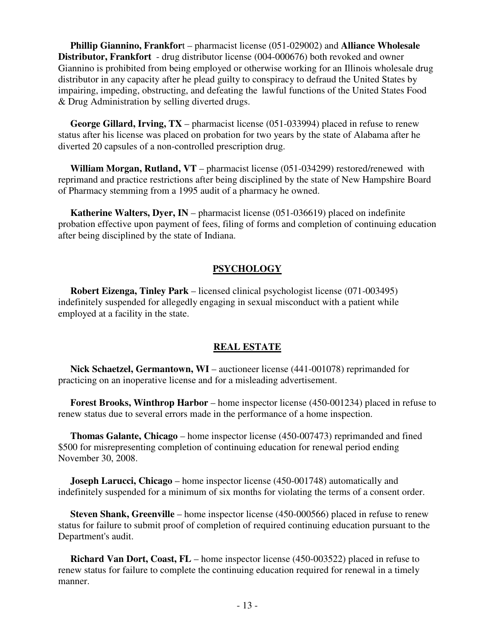**Phillip Giannino, Frankfor**t – pharmacist license (051-029002) and **Alliance Wholesale Distributor, Frankfort** - drug distributor license (004-000676) both revoked and owner Giannino is prohibited from being employed or otherwise working for an Illinois wholesale drug distributor in any capacity after he plead guilty to conspiracy to defraud the United States by impairing, impeding, obstructing, and defeating the lawful functions of the United States Food & Drug Administration by selling diverted drugs.

**George Gillard, Irving, TX** – pharmacist license (051-033994) placed in refuse to renew status after his license was placed on probation for two years by the state of Alabama after he diverted 20 capsules of a non-controlled prescription drug.

**William Morgan, Rutland, VT** – pharmacist license (051-034299) restored/renewed with reprimand and practice restrictions after being disciplined by the state of New Hampshire Board of Pharmacy stemming from a 1995 audit of a pharmacy he owned.

**Katherine Walters, Dyer, IN** – pharmacist license (051-036619) placed on indefinite probation effective upon payment of fees, filing of forms and completion of continuing education after being disciplined by the state of Indiana.

# **PSYCHOLOGY**

**Robert Eizenga, Tinley Park** – licensed clinical psychologist license (071-003495) indefinitely suspended for allegedly engaging in sexual misconduct with a patient while employed at a facility in the state.

## **REAL ESTATE**

**Nick Schaetzel, Germantown, WI** – auctioneer license (441-001078) reprimanded for practicing on an inoperative license and for a misleading advertisement.

**Forest Brooks, Winthrop Harbor** – home inspector license (450-001234) placed in refuse to renew status due to several errors made in the performance of a home inspection.

**Thomas Galante, Chicago** – home inspector license (450-007473) reprimanded and fined \$500 for misrepresenting completion of continuing education for renewal period ending November 30, 2008.

**Joseph Larucci, Chicago** – home inspector license (450-001748) automatically and indefinitely suspended for a minimum of six months for violating the terms of a consent order.

**Steven Shank, Greenville** – home inspector license (450-000566) placed in refuse to renew status for failure to submit proof of completion of required continuing education pursuant to the Department's audit.

**Richard Van Dort, Coast, FL** – home inspector license (450-003522) placed in refuse to renew status for failure to complete the continuing education required for renewal in a timely manner.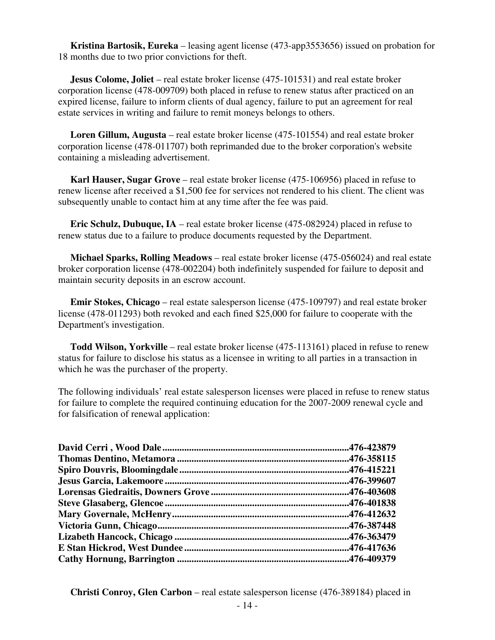**Kristina Bartosik, Eureka** – leasing agent license (473-app3553656) issued on probation for 18 months due to two prior convictions for theft.

**Jesus Colome, Joliet** – real estate broker license (475-101531) and real estate broker corporation license (478-009709) both placed in refuse to renew status after practiced on an expired license, failure to inform clients of dual agency, failure to put an agreement for real estate services in writing and failure to remit moneys belongs to others.

**Loren Gillum, Augusta** – real estate broker license (475-101554) and real estate broker corporation license (478-011707) both reprimanded due to the broker corporation's website containing a misleading advertisement.

**Karl Hauser, Sugar Grove** – real estate broker license (475-106956) placed in refuse to renew license after received a \$1,500 fee for services not rendered to his client. The client was subsequently unable to contact him at any time after the fee was paid.

**Eric Schulz, Dubuque, IA** – real estate broker license (475-082924) placed in refuse to renew status due to a failure to produce documents requested by the Department.

**Michael Sparks, Rolling Meadows** – real estate broker license (475-056024) and real estate broker corporation license (478-002204) both indefinitely suspended for failure to deposit and maintain security deposits in an escrow account.

**Emir Stokes, Chicago** – real estate salesperson license (475-109797) and real estate broker license (478-011293) both revoked and each fined \$25,000 for failure to cooperate with the Department's investigation.

**Todd Wilson, Yorkville** – real estate broker license (475-113161) placed in refuse to renew status for failure to disclose his status as a licensee in writing to all parties in a transaction in which he was the purchaser of the property.

The following individuals' real estate salesperson licenses were placed in refuse to renew status for failure to complete the required continuing education for the 2007-2009 renewal cycle and for falsification of renewal application:

 **Christi Conroy, Glen Carbon** – real estate salesperson license (476-389184) placed in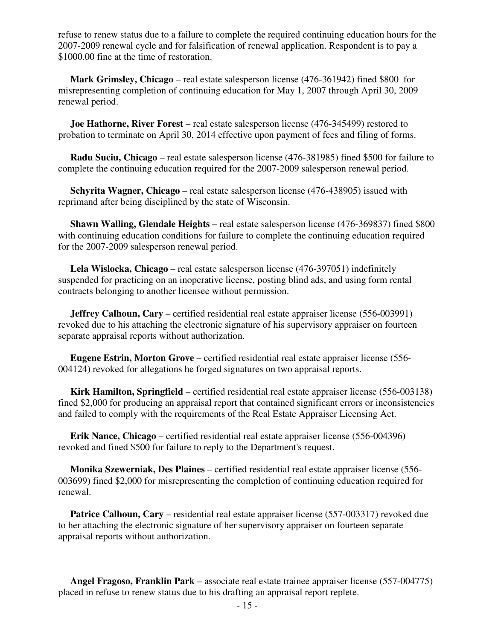refuse to renew status due to a failure to complete the required continuing education hours for the 2007-2009 renewal cycle and for falsification of renewal application. Respondent is to pay a \$1000.00 fine at the time of restoration.

**Mark Grimsley, Chicago** – real estate salesperson license (476-361942) fined \$800 for misrepresenting completion of continuing education for May 1, 2007 through April 30, 2009 renewal period.

**Joe Hathorne, River Forest** – real estate salesperson license (476-345499) restored to probation to terminate on April 30, 2014 effective upon payment of fees and filing of forms.

**Radu Suciu, Chicago** – real estate salesperson license (476-381985) fined \$500 for failure to complete the continuing education required for the 2007-2009 salesperson renewal period.

**Schyrita Wagner, Chicago** – real estate salesperson license (476-438905) issued with reprimand after being disciplined by the state of Wisconsin.

**Shawn Walling, Glendale Heights** – real estate salesperson license (476-369837) fined \$800 with continuing education conditions for failure to complete the continuing education required for the 2007-2009 salesperson renewal period.

**Lela Wislocka, Chicago** – real estate salesperson license (476-397051) indefinitely suspended for practicing on an inoperative license, posting blind ads, and using form rental contracts belonging to another licensee without permission.

**Jeffrey Calhoun, Cary** – certified residential real estate appraiser license (556-003991) revoked due to his attaching the electronic signature of his supervisory appraiser on fourteen separate appraisal reports without authorization.

**Eugene Estrin, Morton Grove** – certified residential real estate appraiser license (556- 004124) revoked for allegations he forged signatures on two appraisal reports.

**Kirk Hamilton, Springfield** – certified residential real estate appraiser license (556-003138) fined \$2,000 for producing an appraisal report that contained significant errors or inconsistencies and failed to comply with the requirements of the Real Estate Appraiser Licensing Act.

**Erik Nance, Chicago** – certified residential real estate appraiser license (556-004396) revoked and fined \$500 for failure to reply to the Department's request.

**Monika Szewerniak, Des Plaines** – certified residential real estate appraiser license (556- 003699) fined \$2,000 for misrepresenting the completion of continuing education required for renewal.

**Patrice Calhoun, Cary** – residential real estate appraiser license (557-003317) revoked due to her attaching the electronic signature of her supervisory appraiser on fourteen separate appraisal reports without authorization.

**Angel Fragoso, Franklin Park** – associate real estate trainee appraiser license (557-004775) placed in refuse to renew status due to his drafting an appraisal report replete.